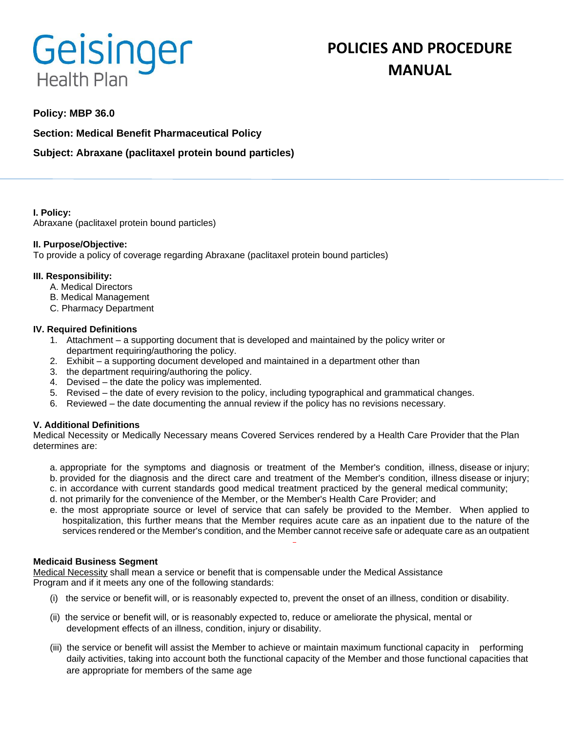# Geisinger **Health Plan**

# **POLICIES AND PROCEDURE MANUAL**

### **Policy: MBP 36.0**

**Section: Medical Benefit Pharmaceutical Policy**

## **Subject: Abraxane (paclitaxel protein bound particles)**

#### **I. Policy:**

Abraxane (paclitaxel protein bound particles)

#### **II. Purpose/Objective:**

To provide a policy of coverage regarding Abraxane (paclitaxel protein bound particles)

#### **III. Responsibility:**

- A. Medical Directors
- B. Medical Management
- C. Pharmacy Department

#### **IV. Required Definitions**

- 1. Attachment a supporting document that is developed and maintained by the policy writer or department requiring/authoring the policy.
- 2. Exhibit a supporting document developed and maintained in a department other than
- 3. the department requiring/authoring the policy.
- 4. Devised the date the policy was implemented.
- 5. Revised the date of every revision to the policy, including typographical and grammatical changes.
- 6. Reviewed the date documenting the annual review if the policy has no revisions necessary.

#### **V. Additional Definitions**

Medical Necessity or Medically Necessary means Covered Services rendered by a Health Care Provider that the Plan determines are:

- a. appropriate for the symptoms and diagnosis or treatment of the Member's condition, illness, disease or injury; b. provided for the diagnosis and the direct care and treatment of the Member's condition, illness disease or injury;
- c. in accordance with current standards good medical treatment practiced by the general medical community;
- d. not primarily for the convenience of the Member, or the Member's Health Care Provider; and
- e. the most appropriate source or level of service that can safely be provided to the Member. When applied to hospitalization, this further means that the Member requires acute care as an inpatient due to the nature of the services rendered or the Member's condition, and the Member cannot receive safe or adequate care as an outpatient

#### **Medicaid Business Segment**

Medical Necessity shall mean a service or benefit that is compensable under the Medical Assistance Program and if it meets any one of the following standards:

- (i) the service or benefit will, or is reasonably expected to, prevent the onset of an illness, condition or disability.
- (ii) the service or benefit will, or is reasonably expected to, reduce or ameliorate the physical, mental or development effects of an illness, condition, injury or disability.
- (iii) the service or benefit will assist the Member to achieve or maintain maximum functional capacity in performing daily activities, taking into account both the functional capacity of the Member and those functional capacities that are appropriate for members of the same age